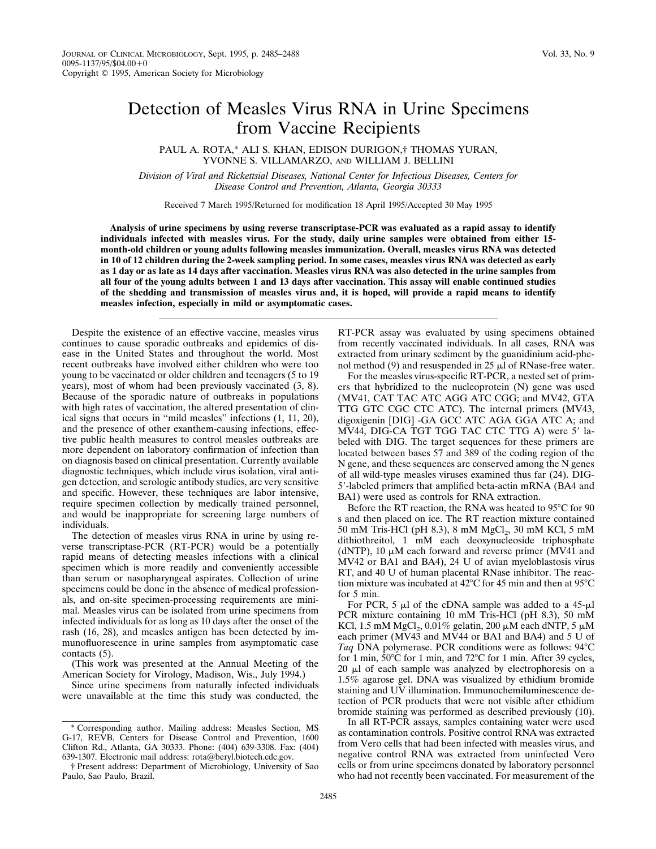## Detection of Measles Virus RNA in Urine Specimens from Vaccine Recipients

PAUL A. ROTA,\* ALI S. KHAN, EDISON DURIGON,† THOMAS YURAN, YVONNE S. VILLAMARZO, AND WILLIAM J. BELLINI

*Division of Viral and Rickettsial Diseases, National Center for Infectious Diseases, Centers for Disease Control and Prevention, Atlanta, Georgia 30333*

Received 7 March 1995/Returned for modification 18 April 1995/Accepted 30 May 1995

**Analysis of urine specimens by using reverse transcriptase-PCR was evaluated as a rapid assay to identify individuals infected with measles virus. For the study, daily urine samples were obtained from either 15 month-old children or young adults following measles immunization. Overall, measles virus RNA was detected in 10 of 12 children during the 2-week sampling period. In some cases, measles virus RNA was detected as early as 1 day or as late as 14 days after vaccination. Measles virus RNA was also detected in the urine samples from all four of the young adults between 1 and 13 days after vaccination. This assay will enable continued studies of the shedding and transmission of measles virus and, it is hoped, will provide a rapid means to identify measles infection, especially in mild or asymptomatic cases.**

Despite the existence of an effective vaccine, measles virus continues to cause sporadic outbreaks and epidemics of disease in the United States and throughout the world. Most recent outbreaks have involved either children who were too young to be vaccinated or older children and teenagers (5 to 19 years), most of whom had been previously vaccinated (3, 8). Because of the sporadic nature of outbreaks in populations with high rates of vaccination, the altered presentation of clinical signs that occurs in ''mild measles'' infections (1, 11, 20), and the presence of other exanthem-causing infections, effective public health measures to control measles outbreaks are more dependent on laboratory confirmation of infection than on diagnosis based on clinical presentation. Currently available diagnostic techniques, which include virus isolation, viral antigen detection, and serologic antibody studies, are very sensitive and specific. However, these techniques are labor intensive, require specimen collection by medically trained personnel, and would be inappropriate for screening large numbers of individuals.

The detection of measles virus RNA in urine by using reverse transcriptase-PCR (RT-PCR) would be a potentially rapid means of detecting measles infections with a clinical specimen which is more readily and conveniently accessible than serum or nasopharyngeal aspirates. Collection of urine specimens could be done in the absence of medical professionals, and on-site specimen-processing requirements are minimal. Measles virus can be isolated from urine specimens from infected individuals for as long as 10 days after the onset of the rash (16, 28), and measles antigen has been detected by immunofluorescence in urine samples from asymptomatic case contacts (5).

(This work was presented at the Annual Meeting of the American Society for Virology, Madison, Wis., July 1994.)

Since urine specimens from naturally infected individuals were unavailable at the time this study was conducted, the

each primer (MV43 and MV44 or BA1 and BA4) and 5 U of *Taq* DNA polymerase. PCR conditions were as follows: 94°C for 1 min,  $50^{\circ}$ C for 1 min, and  $72^{\circ}$ C for 1 min. After 39 cycles,

BA1) were used as controls for RNA extraction.

Before the RT reaction, the RNA was heated to  $95^{\circ}$ C for  $90$ s and then placed on ice. The RT reaction mixture contained 50 mM Tris-HCl (pH 8.3), 8 mM MgCl<sub>2</sub>, 30 mM KCl, 5 mM dithiothreitol, 1 mM each deoxynucleoside triphosphate (dNTP), 10  $\mu$ M each forward and reverse primer (MV41 and MV42 or BA1 and BA4), 24 U of avian myeloblastosis virus RT, and 40 U of human placental RNase inhibitor. The reaction mixture was incubated at  $42^{\circ}$ C for 45 min and then at  $95^{\circ}$ C

 $20 \mu l$  of each sample was analyzed by electrophoresis on a 1.5% agarose gel. DNA was visualized by ethidium bromide staining and UV illumination. Immunochemiluminescence detection of PCR products that were not visible after ethidium bromide staining was performed as described previously (10).

For PCR, 5  $\mu$ l of the cDNA sample was added to a 45- $\mu$ l PCR mixture containing 10 mM Tris-HCl (pH 8.3), 50 mM KCl, 1.5 mM MgCl<sub>2</sub>, 0.01% gelatin, 200  $\mu$ M each dNTP, 5  $\mu$ M

RT-PCR assay was evaluated by using specimens obtained from recently vaccinated individuals. In all cases, RNA was extracted from urinary sediment by the guanidinium acid-phenol method (9) and resuspended in  $25 \mu$  of RNase-free water. For the measles virus-specific RT-PCR, a nested set of primers that hybridized to the nucleoprotein (N) gene was used (MV41, CAT TAC ATC AGG ATC CGG; and MV42, GTA TTG GTC CGC CTC ATC). The internal primers (MV43, digoxigenin [DIG] -GA GCC ATC AGA GGA ATC A; and MV44, DIG-CA TGT TGG TAC CTC TTG A) were 5' labeled with DIG. The target sequences for these primers are located between bases 57 and 389 of the coding region of the N gene, and these sequences are conserved among the N genes of all wild-type measles viruses examined thus far (24). DIG-5'-labeled primers that amplified beta-actin mRNA (BA4 and

In all RT-PCR assays, samples containing water were used as contamination controls. Positive control RNA was extracted from Vero cells that had been infected with measles virus, and negative control RNA was extracted from uninfected Vero cells or from urine specimens donated by laboratory personnel who had not recently been vaccinated. For measurement of the

for 5 min.

<sup>\*</sup> Corresponding author. Mailing address: Measles Section, MS G-17, REVB, Centers for Disease Control and Prevention, 1600 Clifton Rd., Atlanta, GA 30333. Phone: (404) 639-3308. Fax: (404) 639-1307. Electronic mail address: rota@beryl.biotech.cdc.gov.

<sup>†</sup> Present address: Department of Microbiology, University of Sao Paulo, Sao Paulo, Brazil.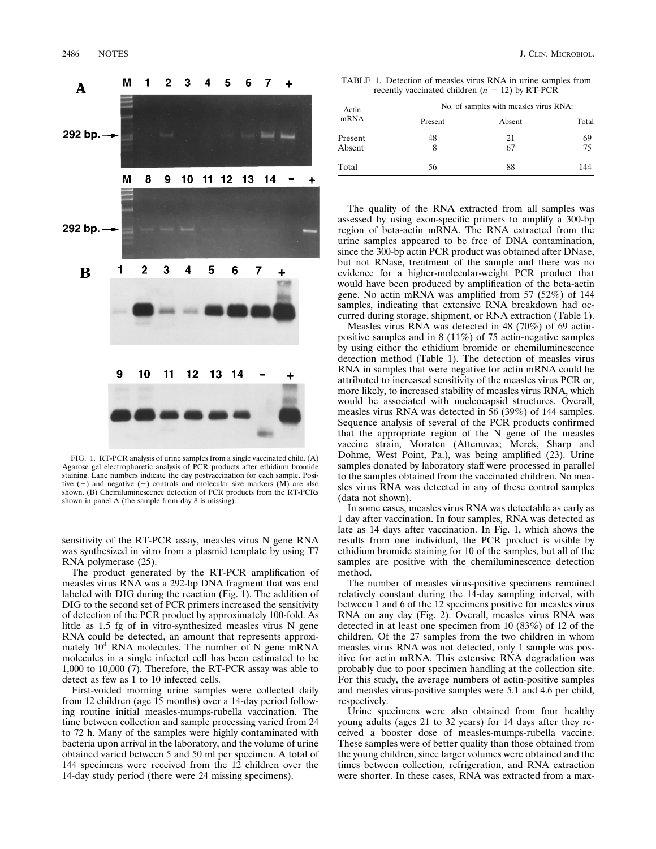

FIG. 1. RT-PCR analysis of urine samples from a single vaccinated child. (A) Agarose gel electrophoretic analysis of PCR products after ethidium bromide staining. Lane numbers indicate the day postvaccination for each sample. Positive  $(+)$  and negative  $(-)$  controls and molecular size markers  $(M)$  are also shown. (B) Chemiluminescence detection of PCR products from the RT-PCRs shown in panel A (the sample from day 8 is missing).

sensitivity of the RT-PCR assay, measles virus N gene RNA was synthesized in vitro from a plasmid template by using T7 RNA polymerase (25).

The product generated by the RT-PCR amplification of measles virus RNA was a 292-bp DNA fragment that was end labeled with DIG during the reaction (Fig. 1). The addition of DIG to the second set of PCR primers increased the sensitivity of detection of the PCR product by approximately 100-fold. As little as 1.5 fg of in vitro-synthesized measles virus N gene RNA could be detected, an amount that represents approximately  $10^4$  RNA molecules. The number of N gene mRNA molecules in a single infected cell has been estimated to be 1,000 to 10,000 (7). Therefore, the RT-PCR assay was able to detect as few as 1 to 10 infected cells.

First-voided morning urine samples were collected daily from 12 children (age 15 months) over a 14-day period following routine initial measles-mumps-rubella vaccination. The time between collection and sample processing varied from 24 to 72 h. Many of the samples were highly contaminated with bacteria upon arrival in the laboratory, and the volume of urine obtained varied between 5 and 50 ml per specimen. A total of 144 specimens were received from the 12 children over the 14-day study period (there were 24 missing specimens).

TABLE 1. Detection of measles virus RNA in urine samples from recently vaccinated children  $(n = 12)$  by RT-PCR

| Actin<br>mRNA | No. of samples with measles virus RNA: |        |       |  |
|---------------|----------------------------------------|--------|-------|--|
|               | Present                                | Absent | Total |  |
| Present       | 48                                     | 21     | 69    |  |
| Absent        | 8                                      | 67     | 75    |  |
| Total         | 56                                     | 88     | 144   |  |

The quality of the RNA extracted from all samples was assessed by using exon-specific primers to amplify a 300-bp region of beta-actin mRNA. The RNA extracted from the urine samples appeared to be free of DNA contamination, since the 300-bp actin PCR product was obtained after DNase, but not RNase, treatment of the sample and there was no evidence for a higher-molecular-weight PCR product that would have been produced by amplification of the beta-actin gene. No actin mRNA was amplified from 57 (52%) of 144 samples, indicating that extensive RNA breakdown had occurred during storage, shipment, or RNA extraction (Table 1).

Measles virus RNA was detected in 48 (70%) of 69 actinpositive samples and in 8 (11%) of 75 actin-negative samples by using either the ethidium bromide or chemiluminescence detection method (Table 1). The detection of measles virus RNA in samples that were negative for actin mRNA could be attributed to increased sensitivity of the measles virus PCR or, more likely, to increased stability of measles virus RNA, which would be associated with nucleocapsid structures. Overall, measles virus RNA was detected in 56 (39%) of 144 samples. Sequence analysis of several of the PCR products confirmed that the appropriate region of the N gene of the measles vaccine strain, Moraten (Attenuvax; Merck, Sharp and Dohme, West Point, Pa.), was being amplified (23). Urine samples donated by laboratory staff were processed in parallel to the samples obtained from the vaccinated children. No measles virus RNA was detected in any of these control samples (data not shown).

In some cases, measles virus RNA was detectable as early as 1 day after vaccination. In four samples, RNA was detected as late as 14 days after vaccination. In Fig. 1, which shows the results from one individual, the PCR product is visible by ethidium bromide staining for 10 of the samples, but all of the samples are positive with the chemiluminescence detection method.

The number of measles virus-positive specimens remained relatively constant during the 14-day sampling interval, with between 1 and 6 of the 12 specimens positive for measles virus RNA on any day (Fig. 2). Overall, measles virus RNA was detected in at least one specimen from 10 (83%) of 12 of the children. Of the 27 samples from the two children in whom measles virus RNA was not detected, only 1 sample was positive for actin mRNA. This extensive RNA degradation was probably due to poor specimen handling at the collection site. For this study, the average numbers of actin-positive samples and measles virus-positive samples were 5.1 and 4.6 per child, respectively.

Urine specimens were also obtained from four healthy young adults (ages 21 to 32 years) for 14 days after they received a booster dose of measles-mumps-rubella vaccine. These samples were of better quality than those obtained from the young children, since larger volumes were obtained and the times between collection, refrigeration, and RNA extraction were shorter. In these cases, RNA was extracted from a max-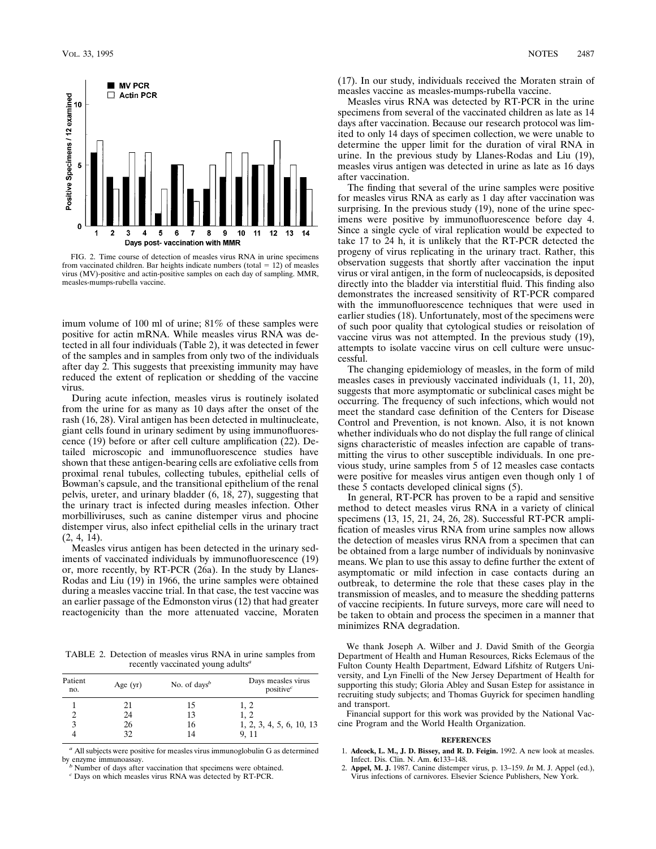

FIG. 2. Time course of detection of measles virus RNA in urine specimens from vaccinated children. Bar heights indicate numbers (total = 12) of measles virus (MV)-positive and actin-positive samples on each day of sampling. MMR, measles-mumps-rubella vaccine.

imum volume of 100 ml of urine; 81% of these samples were positive for actin mRNA. While measles virus RNA was detected in all four individuals (Table 2), it was detected in fewer of the samples and in samples from only two of the individuals after day 2. This suggests that preexisting immunity may have reduced the extent of replication or shedding of the vaccine virus.

During acute infection, measles virus is routinely isolated from the urine for as many as 10 days after the onset of the rash (16, 28). Viral antigen has been detected in multinucleate, giant cells found in urinary sediment by using immunofluorescence (19) before or after cell culture amplification (22). Detailed microscopic and immunofluorescence studies have shown that these antigen-bearing cells are exfoliative cells from proximal renal tubules, collecting tubules, epithelial cells of Bowman's capsule, and the transitional epithelium of the renal pelvis, ureter, and urinary bladder (6, 18, 27), suggesting that the urinary tract is infected during measles infection. Other morbilliviruses, such as canine distemper virus and phocine distemper virus, also infect epithelial cells in the urinary tract (2, 4, 14).

Measles virus antigen has been detected in the urinary sediments of vaccinated individuals by immunofluorescence (19) or, more recently, by RT-PCR (26a). In the study by Llanes-Rodas and Liu (19) in 1966, the urine samples were obtained during a measles vaccine trial. In that case, the test vaccine was an earlier passage of the Edmonston virus (12) that had greater reactogenicity than the more attenuated vaccine, Moraten

TABLE 2. Detection of measles virus RNA in urine samples from recently vaccinated young adults*<sup>a</sup>*

| Patient<br>no. | Age $(yr)$ | No. of days <sup><math>b</math></sup> | Days measles virus<br>positive $c$ |
|----------------|------------|---------------------------------------|------------------------------------|
|                | 21         | 15                                    | 1, 2                               |
|                | 24         | 13                                    | 1, 2                               |
|                | 26         | 16                                    | 1, 2, 3, 4, 5, 6, 10, 13           |
|                |            |                                       | 9.11                               |

 $^{\emph{a}}$  All subjects were positive for measles virus immunoglobulin G as determined by enzyme immunoassay.

Number of days after vaccination that specimens were obtained.

*<sup>c</sup>* Days on which measles virus RNA was detected by RT-PCR.

(17). In our study, individuals received the Moraten strain of measles vaccine as measles-mumps-rubella vaccine.

Measles virus RNA was detected by RT-PCR in the urine specimens from several of the vaccinated children as late as 14 days after vaccination. Because our research protocol was limited to only 14 days of specimen collection, we were unable to determine the upper limit for the duration of viral RNA in urine. In the previous study by Llanes-Rodas and Liu (19), measles virus antigen was detected in urine as late as 16 days after vaccination.

The finding that several of the urine samples were positive for measles virus RNA as early as 1 day after vaccination was surprising. In the previous study (19), none of the urine specimens were positive by immunofluorescence before day 4. Since a single cycle of viral replication would be expected to take 17 to 24 h, it is unlikely that the RT-PCR detected the progeny of virus replicating in the urinary tract. Rather, this observation suggests that shortly after vaccination the input virus or viral antigen, in the form of nucleocapsids, is deposited directly into the bladder via interstitial fluid. This finding also demonstrates the increased sensitivity of RT-PCR compared with the immunofluorescence techniques that were used in earlier studies (18). Unfortunately, most of the specimens were of such poor quality that cytological studies or reisolation of vaccine virus was not attempted. In the previous study (19), attempts to isolate vaccine virus on cell culture were unsuccessful.

The changing epidemiology of measles, in the form of mild measles cases in previously vaccinated individuals (1, 11, 20), suggests that more asymptomatic or subclinical cases might be occurring. The frequency of such infections, which would not meet the standard case definition of the Centers for Disease Control and Prevention, is not known. Also, it is not known whether individuals who do not display the full range of clinical signs characteristic of measles infection are capable of transmitting the virus to other susceptible individuals. In one previous study, urine samples from 5 of 12 measles case contacts were positive for measles virus antigen even though only 1 of these 5 contacts developed clinical signs (5).

In general, RT-PCR has proven to be a rapid and sensitive method to detect measles virus RNA in a variety of clinical specimens (13, 15, 21, 24, 26, 28). Successful RT-PCR amplification of measles virus RNA from urine samples now allows the detection of measles virus RNA from a specimen that can be obtained from a large number of individuals by noninvasive means. We plan to use this assay to define further the extent of asymptomatic or mild infection in case contacts during an outbreak, to determine the role that these cases play in the transmission of measles, and to measure the shedding patterns of vaccine recipients. In future surveys, more care will need to be taken to obtain and process the specimen in a manner that minimizes RNA degradation.

We thank Joseph A. Wilber and J. David Smith of the Georgia Department of Health and Human Resources, Ricks Eclemaus of the Fulton County Health Department, Edward Lifshitz of Rutgers University, and Lyn Finelli of the New Jersey Department of Health for supporting this study; Gloria Abley and Susan Estep for assistance in recruiting study subjects; and Thomas Guyrick for specimen handling and transport.

Financial support for this work was provided by the National Vaccine Program and the World Health Organization.

## **REFERENCES**

- 1. **Adcock, L. M., J. D. Bissey, and R. D. Feigin.** 1992. A new look at measles. Infect. Dis. Clin. N. Am. **6:**133–148.
- 2. **Appel, M. J.** 1987. Canine distemper virus, p. 13–159. *In* M. J. Appel (ed.), Virus infections of carnivores. Elsevier Science Publishers, New York.